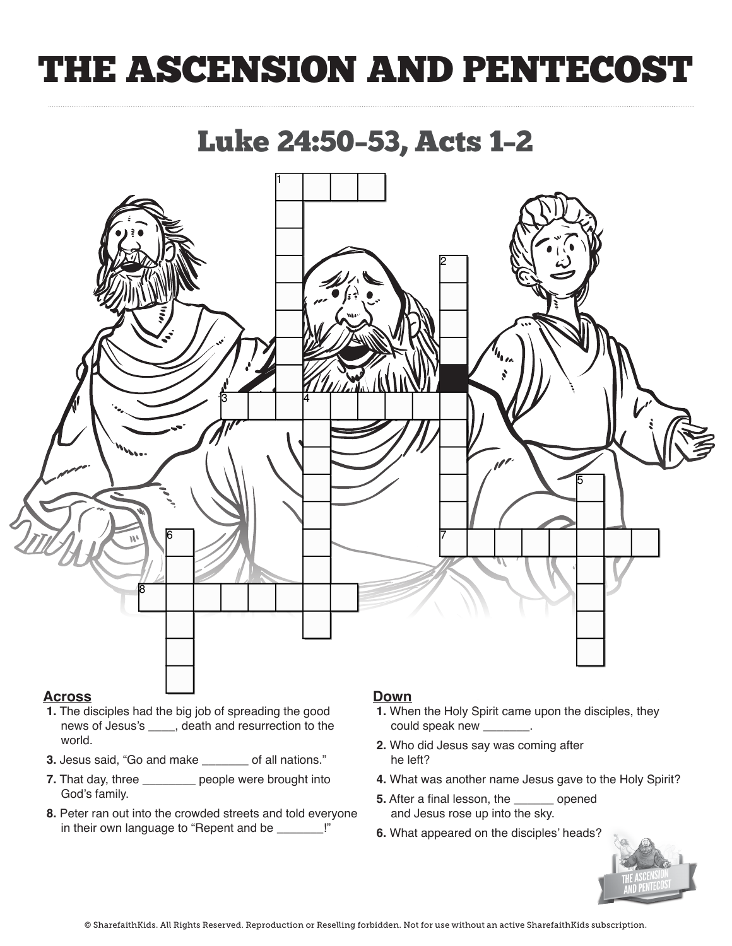# THE ASCENSION AND PENTECOST

Luke 24:50–53, Acts 1–2



### **Across**

- **1.** The disciples had the big job of spreading the good If the disciples had the big job of spreading the good<br>news of Jesus's \_\_\_\_, death and resurrection to the world. **1.** The disciples had the disciples had the good spreading the good spreading the good spreading the good spreading the good spreading the good spreading the good spreading the good spreading the good spreading the good s
- **3.** Jesus said, "Go and make **\_\_\_\_\_\_** of all nations."
- **7.** That day, three \_\_\_\_\_\_\_\_\_ people were brought into God's family. **3. Jesus said, 'Go and make (Disciples)** of all nations.' **Co** and  $\overline{S}$
- **8.** Peter ran out into the crowded streets and told everyone in their own language to "Repent and be *\_\_\_\_\_\_\_\_*!"

### **Down**

- **1.** When the Holy Spirit came upon the disciples, they **could speak new \_\_\_\_\_\_\_**.
- **2.** Who did Jesus say was coming after he left? could speak new (Languages)
- **4.** What was another name Jesus gave to the Holy Spirit?
- **5.** After a final lesson, the *\_\_\_\_\_\_* opened and Jesus rose up into the sky.
- **6.** What appeared on the disciples' heads?